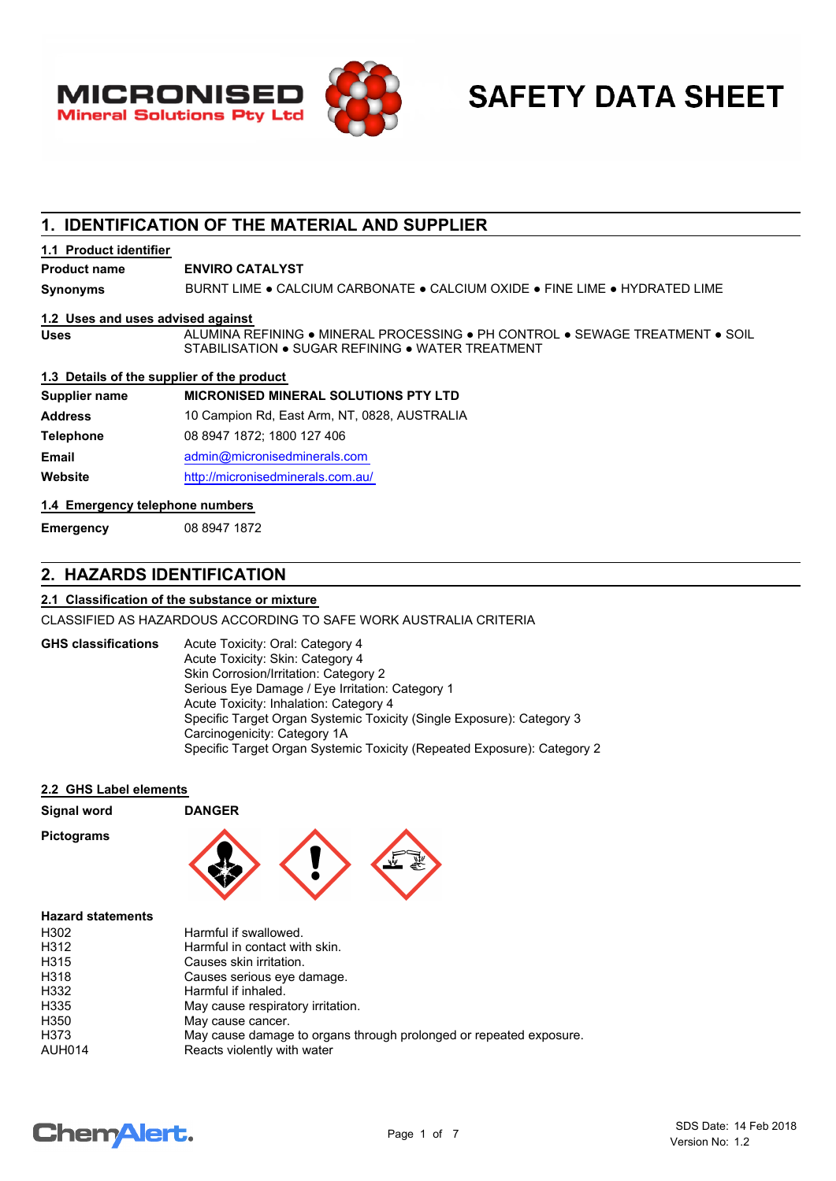



# **1. IDENTIFICATION OF THE MATERIAL AND SUPPLIER**

#### **1.1 Product identifier**

**Product name ENVIRO CATALYST**

**Synonyms** BURNT LIME . CALCIUM CARBONATE . CALCIUM OXIDE . FINE LIME . HYDRATED LIME

#### **1.2 Uses and uses advised against**

ALUMINA REFINING ● MINERAL PROCESSING ● PH CONTROL ● SEWAGE TREATMENT ● SOIL STABILISATION ● SUGAR REFINING ● WATER TREATMENT

**1.3 Details of the supplier of the product**

| Supplier name    | <b>MICRONISED MINERAL SOLUTIONS PTY LTD</b>  |
|------------------|----------------------------------------------|
| <b>Address</b>   | 10 Campion Rd, East Arm, NT, 0828, AUSTRALIA |
| <b>Telephone</b> | 08 8947 1872; 1800 127 406                   |
| <b>Email</b>     | admin@micronisedminerals.com                 |
| Website          | http://micronisedminerals.com.au/            |
|                  |                                              |

#### **1.4 Emergency telephone numbers**

**Emergency** 08 8947 1872

**Uses**

# **2. HAZARDS IDENTIFICATION**

#### **2.1 Classification of the substance or mixture**

CLASSIFIED AS HAZARDOUS ACCORDING TO SAFE WORK AUSTRALIA CRITERIA

#### **GHS classifications**

Acute Toxicity: Oral: Category 4 Acute Toxicity: Skin: Category 4 Skin Corrosion/Irritation: Category 2 Serious Eye Damage / Eye Irritation: Category 1 Acute Toxicity: Inhalation: Category 4 Specific Target Organ Systemic Toxicity (Single Exposure): Category 3 Carcinogenicity: Category 1A Specific Target Organ Systemic Toxicity (Repeated Exposure): Category 2

#### **2.2 GHS Label elements**

| Signal word              | <b>DANGER</b>                                                      |
|--------------------------|--------------------------------------------------------------------|
| <b>Pictograms</b>        |                                                                    |
| <b>Hazard statements</b> |                                                                    |
| H302                     | Harmful if swallowed.                                              |
| H312                     | Harmful in contact with skin.                                      |
| H315                     | Causes skin irritation.                                            |
| H318                     | Causes serious eye damage.                                         |
| H332                     | Harmful if inhaled.                                                |
| H335                     | May cause respiratory irritation.                                  |
| H <sub>350</sub>         | May cause cancer.                                                  |
| H373                     | May cause damage to organs through prolonged or repeated exposure. |
| <b>AUH014</b>            | Reacts violently with water                                        |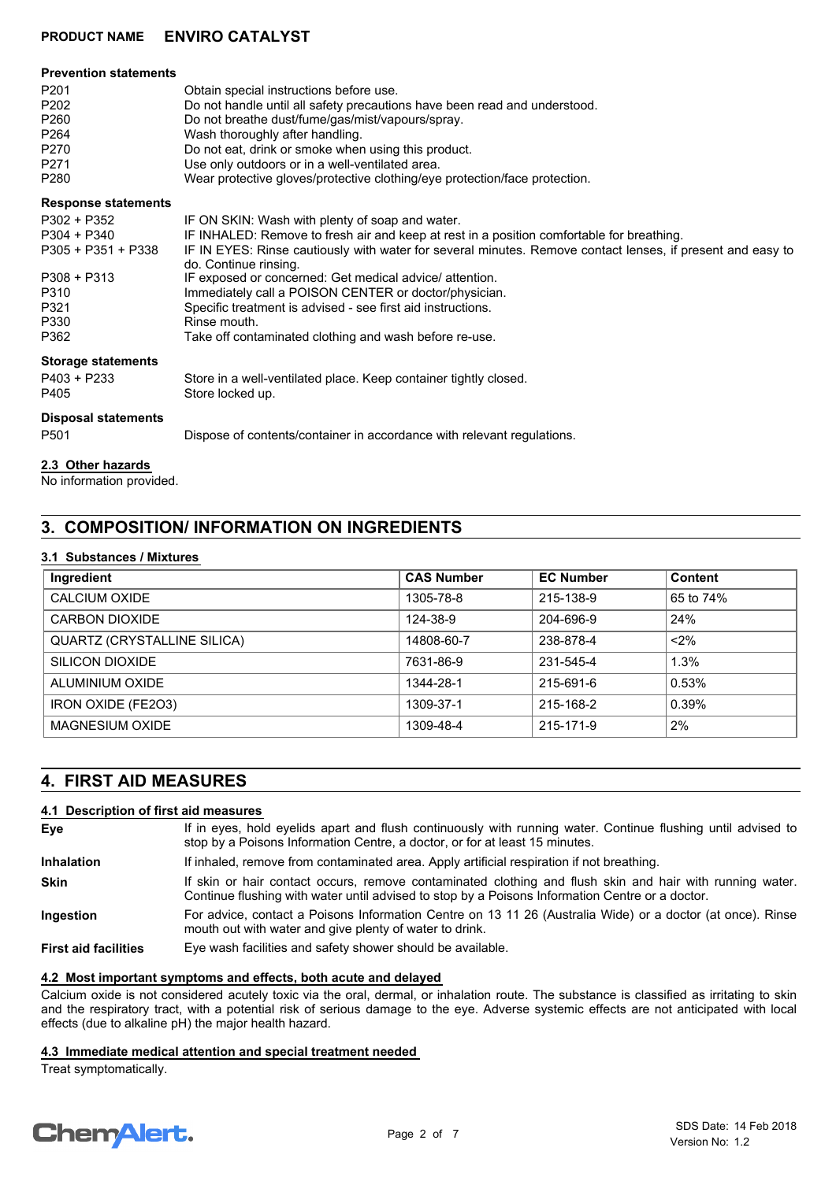### **PRODUCT NAME ENVIRO CATALYST**

| <b>Prevention statements</b>                                                                                     |                                                                                                                                                                                                                                                                                                                                                                                                                                                                                                                                                 |
|------------------------------------------------------------------------------------------------------------------|-------------------------------------------------------------------------------------------------------------------------------------------------------------------------------------------------------------------------------------------------------------------------------------------------------------------------------------------------------------------------------------------------------------------------------------------------------------------------------------------------------------------------------------------------|
| P <sub>201</sub><br>P <sub>202</sub><br>P <sub>260</sub><br>P <sub>264</sub><br>P270<br>P <sub>271</sub><br>P280 | Obtain special instructions before use.<br>Do not handle until all safety precautions have been read and understood.<br>Do not breathe dust/fume/gas/mist/vapours/spray.<br>Wash thoroughly after handling.<br>Do not eat, drink or smoke when using this product.<br>Use only outdoors or in a well-ventilated area.<br>Wear protective gloves/protective clothing/eye protection/face protection.                                                                                                                                             |
| <b>Response statements</b>                                                                                       |                                                                                                                                                                                                                                                                                                                                                                                                                                                                                                                                                 |
| P302 + P352<br>P304 + P340<br>$P305 + P351 + P338$<br>$P308 + P313$<br>P310<br>P321<br>P330<br>P362              | IF ON SKIN: Wash with plenty of soap and water.<br>IF INHALED: Remove to fresh air and keep at rest in a position comfortable for breathing.<br>IF IN EYES: Rinse cautiously with water for several minutes. Remove contact lenses, if present and easy to<br>do. Continue rinsing.<br>IF exposed or concerned: Get medical advice/attention.<br>Immediately call a POISON CENTER or doctor/physician.<br>Specific treatment is advised - see first aid instructions.<br>Rinse mouth.<br>Take off contaminated clothing and wash before re-use. |
| <b>Storage statements</b><br>P403 + P233<br>P405                                                                 | Store in a well-ventilated place. Keep container tightly closed.<br>Store locked up.                                                                                                                                                                                                                                                                                                                                                                                                                                                            |
| <b>Disposal statements</b><br>P <sub>501</sub>                                                                   | Dispose of contents/container in accordance with relevant regulations.                                                                                                                                                                                                                                                                                                                                                                                                                                                                          |
| 2.3 Other hazards                                                                                                |                                                                                                                                                                                                                                                                                                                                                                                                                                                                                                                                                 |

No information provided.

# **3. COMPOSITION/ INFORMATION ON INGREDIENTS**

#### **3.1 Substances / Mixtures**

| Ingredient                         | <b>CAS Number</b> | <b>EC Number</b> | <b>Content</b> |
|------------------------------------|-------------------|------------------|----------------|
| CALCIUM OXIDE                      | 1305-78-8         | 215-138-9        | 65 to 74%      |
| CARBON DIOXIDE                     | 124-38-9          | 204-696-9        | 24%            |
| <b>QUARTZ (CRYSTALLINE SILICA)</b> | 14808-60-7        | 238-878-4        | $< 2\%$        |
| SILICON DIOXIDE                    | 7631-86-9         | 231-545-4        | 1.3%           |
| ALUMINIUM OXIDE                    | 1344-28-1         | 215-691-6        | 0.53%          |
| IRON OXIDE (FE2O3)                 | 1309-37-1         | 215-168-2        | 0.39%          |
| <b>MAGNESIUM OXIDE</b>             | 1309-48-4         | 215-171-9        | 2%             |

# **4. FIRST AID MEASURES**

#### **4.1 Description of first aid measures**

| Eye                         | If in eyes, hold eyelids apart and flush continuously with running water. Continue flushing until advised to<br>stop by a Poisons Information Centre, a doctor, or for at least 15 minutes.                 |
|-----------------------------|-------------------------------------------------------------------------------------------------------------------------------------------------------------------------------------------------------------|
| <b>Inhalation</b>           | If inhaled, remove from contaminated area. Apply artificial respiration if not breathing.                                                                                                                   |
| <b>Skin</b>                 | If skin or hair contact occurs, remove contaminated clothing and flush skin and hair with running water.<br>Continue flushing with water until advised to stop by a Poisons Information Centre or a doctor. |
| Ingestion                   | For advice, contact a Poisons Information Centre on 13 11 26 (Australia Wide) or a doctor (at once). Rinse<br>mouth out with water and give plenty of water to drink.                                       |
| <b>First aid facilities</b> | Eye wash facilities and safety shower should be available.                                                                                                                                                  |

#### **4.2 Most important symptoms and effects, both acute and delayed**

Calcium oxide is not considered acutely toxic via the oral, dermal, or inhalation route. The substance is classified as irritating to skin and the respiratory tract, with a potential risk of serious damage to the eye. Adverse systemic effects are not anticipated with local effects (due to alkaline pH) the major health hazard.

#### **4.3 Immediate medical attention and special treatment needed**

Treat symptomatically.

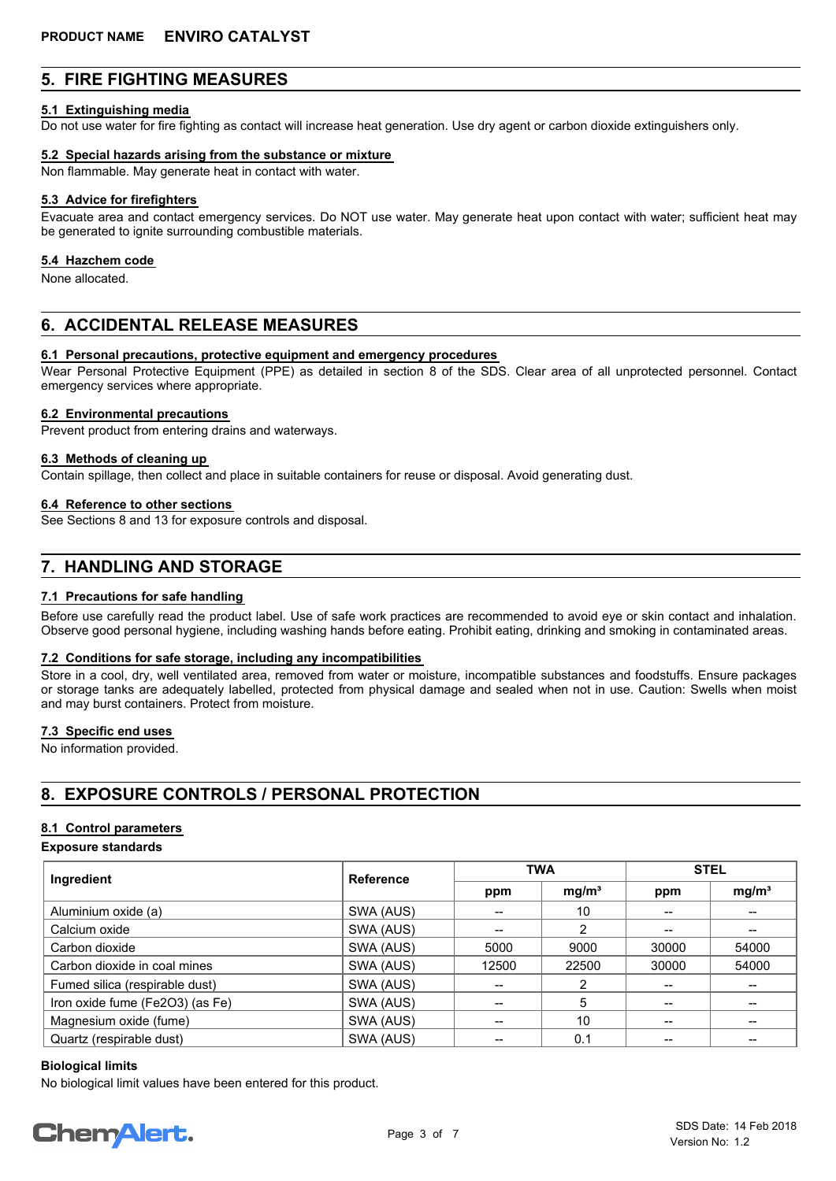## **5. FIRE FIGHTING MEASURES**

#### **5.1 Extinguishing media**

Do not use water for fire fighting as contact will increase heat generation. Use dry agent or carbon dioxide extinguishers only.

#### **5.2 Special hazards arising from the substance or mixture**

Non flammable. May generate heat in contact with water.

#### **5.3 Advice for firefighters**

Evacuate area and contact emergency services. Do NOT use water. May generate heat upon contact with water; sufficient heat may be generated to ignite surrounding combustible materials.

#### **5.4 Hazchem code**

None allocated.

## **6. ACCIDENTAL RELEASE MEASURES**

#### **6.1 Personal precautions, protective equipment and emergency procedures**

Wear Personal Protective Equipment (PPE) as detailed in section 8 of the SDS. Clear area of all unprotected personnel. Contact emergency services where appropriate.

#### **6.2 Environmental precautions**

Prevent product from entering drains and waterways.

#### **6.3 Methods of cleaning up**

Contain spillage, then collect and place in suitable containers for reuse or disposal. Avoid generating dust.

#### **6.4 Reference to other sections**

See Sections 8 and 13 for exposure controls and disposal.

## **7. HANDLING AND STORAGE**

#### **7.1 Precautions for safe handling**

Before use carefully read the product label. Use of safe work practices are recommended to avoid eye or skin contact and inhalation. Observe good personal hygiene, including washing hands before eating. Prohibit eating, drinking and smoking in contaminated areas.

#### **7.2 Conditions for safe storage, including any incompatibilities**

Store in a cool, dry, well ventilated area, removed from water or moisture, incompatible substances and foodstuffs. Ensure packages or storage tanks are adequately labelled, protected from physical damage and sealed when not in use. Caution: Swells when moist and may burst containers. Protect from moisture.

#### **7.3 Specific end uses**

No information provided.

# **8. EXPOSURE CONTROLS / PERSONAL PROTECTION**

#### **8.1 Control parameters**

#### **Exposure standards**

| Ingredient                      | <b>Reference</b> | <b>TWA</b> |                   | <b>STEL</b> |                   |
|---------------------------------|------------------|------------|-------------------|-------------|-------------------|
|                                 |                  | ppm        | mg/m <sup>3</sup> | ppm         | mg/m <sup>3</sup> |
| Aluminium oxide (a)             | SWA (AUS)        |            | 10                |             |                   |
| Calcium oxide                   | SWA (AUS)        | --         | 2                 |             | $- -$             |
| Carbon dioxide                  | SWA (AUS)        | 5000       | 9000              | 30000       | 54000             |
| Carbon dioxide in coal mines    | SWA (AUS)        | 12500      | 22500             | 30000       | 54000             |
| Fumed silica (respirable dust)  | SWA (AUS)        | --         |                   |             |                   |
| Iron oxide fume (Fe2O3) (as Fe) | SWA (AUS)        |            | 5                 |             | --                |
| Magnesium oxide (fume)          | SWA (AUS)        | --         | 10                |             | --                |
| Quartz (respirable dust)        | SWA (AUS)        |            | 0.1               |             | --                |

#### **Biological limits**

No biological limit values have been entered for this product.

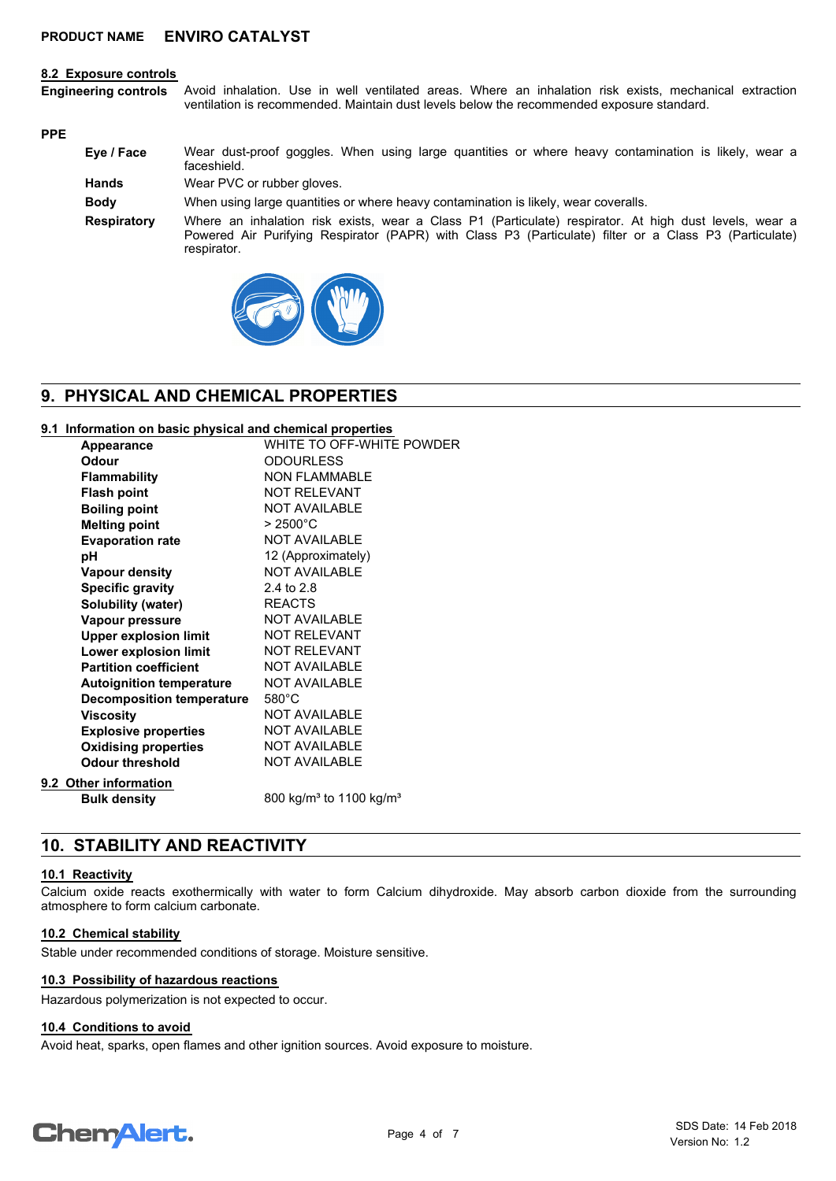#### **8.2 Exposure controls**

Avoid inhalation. Use in well ventilated areas. Where an inhalation risk exists, mechanical extraction ventilation is recommended. Maintain dust levels below the recommended exposure standard. **Engineering controls**

#### **PPE**

| Eye / Face         | Wear dust-proof goggles. When using large quantities or where heavy contamination is likely, wear a<br>faceshield.                                                                                                              |
|--------------------|---------------------------------------------------------------------------------------------------------------------------------------------------------------------------------------------------------------------------------|
| <b>Hands</b>       | Wear PVC or rubber gloves.                                                                                                                                                                                                      |
| <b>Body</b>        | When using large quantities or where heavy contamination is likely, wear coveralls.                                                                                                                                             |
| <b>Respiratory</b> | Where an inhalation risk exists, wear a Class P1 (Particulate) respirator. At high dust levels, wear a<br>Powered Air Purifying Respirator (PAPR) with Class P3 (Particulate) filter or a Class P3 (Particulate)<br>respirator. |



# **9. PHYSICAL AND CHEMICAL PROPERTIES**

#### **9.1 Information on basic physical and chemical properties**

| <b>Appearance</b>            |                                  | WHITE TO OFF-WHITE POWDER                       |
|------------------------------|----------------------------------|-------------------------------------------------|
| Odour                        |                                  | <b>ODOURLESS</b>                                |
| <b>Flammability</b>          |                                  | <b>NON FLAMMABLE</b>                            |
| <b>Flash point</b>           |                                  | <b>NOT RELEVANT</b>                             |
| <b>Boiling point</b>         |                                  | <b>NOT AVAILABLE</b>                            |
| <b>Melting point</b>         |                                  | $> 2500^{\circ}$ C                              |
| <b>Evaporation rate</b>      |                                  | NOT AVAILABLE                                   |
| рH                           |                                  | 12 (Approximately)                              |
| <b>Vapour density</b>        |                                  | <b>NOT AVAILABLE</b>                            |
| <b>Specific gravity</b>      |                                  | 2.4 to 2.8                                      |
| Solubility (water)           |                                  | <b>REACTS</b>                                   |
| Vapour pressure              |                                  | <b>NOT AVAILABLE</b>                            |
| <b>Upper explosion limit</b> |                                  | <b>NOT RELEVANT</b>                             |
| Lower explosion limit        |                                  | <b>NOT RELEVANT</b>                             |
| <b>Partition coefficient</b> |                                  | <b>NOT AVAILABLE</b>                            |
|                              | <b>Autoignition temperature</b>  | <b>NOT AVAILABLE</b>                            |
|                              | <b>Decomposition temperature</b> | $580^{\circ}$ C                                 |
| <b>Viscosity</b>             |                                  | <b>NOT AVAILABLE</b>                            |
| <b>Explosive properties</b>  |                                  | <b>NOT AVAILABLE</b>                            |
| <b>Oxidising properties</b>  |                                  | <b>NOT AVAILABLE</b>                            |
| <b>Odour threshold</b>       |                                  | <b>NOT AVAILABLE</b>                            |
| 9.2 Other information        |                                  |                                                 |
| <b>Bulk density</b>          |                                  | 800 kg/m <sup>3</sup> to 1100 kg/m <sup>3</sup> |
|                              |                                  |                                                 |

# **10. STABILITY AND REACTIVITY**

#### **10.1 Reactivity**

Calcium oxide reacts exothermically with water to form Calcium dihydroxide. May absorb carbon dioxide from the surrounding atmosphere to form calcium carbonate.

#### **10.2 Chemical stability**

Stable under recommended conditions of storage. Moisture sensitive.

#### **10.3 Possibility of hazardous reactions**

Hazardous polymerization is not expected to occur.

#### **10.4 Conditions to avoid**

Avoid heat, sparks, open flames and other ignition sources. Avoid exposure to moisture.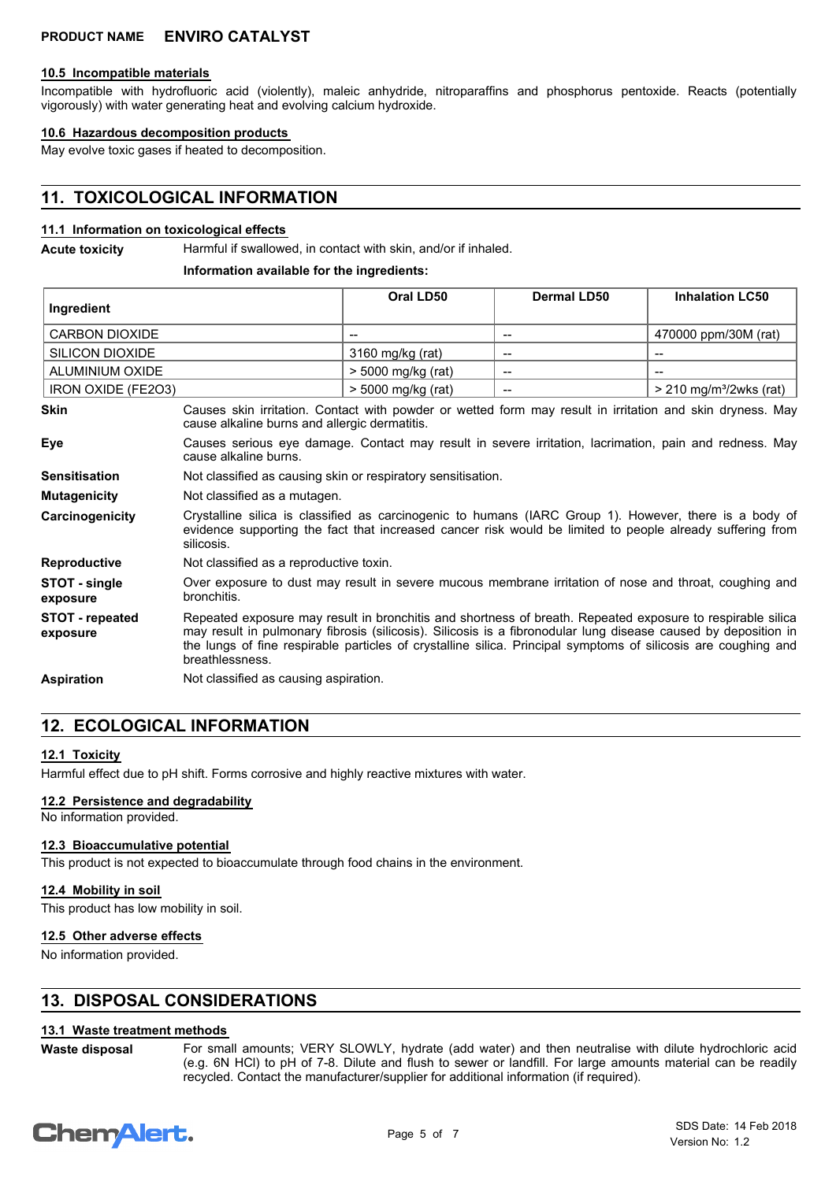#### **10.5 Incompatible materials**

Incompatible with hydrofluoric acid (violently), maleic anhydride, nitroparaffins and phosphorus pentoxide. Reacts (potentially vigorously) with water generating heat and evolving calcium hydroxide.

#### **10.6 Hazardous decomposition products**

May evolve toxic gases if heated to decomposition.

# **11. TOXICOLOGICAL INFORMATION**

#### **11.1 Information on toxicological effects**

**Acute toxicity** Harmful if swallowed, in contact with skin, and/or if inhaled.

#### **Information available for the ingredients:**

| Ingredient                         |                                                                                                                                                                                                                                                                                                                                                                   | Oral LD50                | <b>Dermal LD50</b>                  | <b>Inhalation LC50</b>                |
|------------------------------------|-------------------------------------------------------------------------------------------------------------------------------------------------------------------------------------------------------------------------------------------------------------------------------------------------------------------------------------------------------------------|--------------------------|-------------------------------------|---------------------------------------|
| CARBON DIOXIDE                     |                                                                                                                                                                                                                                                                                                                                                                   | $\overline{\phantom{a}}$ | $\hspace{0.05cm}$ $\hspace{0.05cm}$ | 470000 ppm/30M (rat)                  |
| <b>SILICON DIOXIDE</b>             | 3160 mg/kg (rat)<br>$\overline{\phantom{a}}$<br>$-$                                                                                                                                                                                                                                                                                                               |                          |                                     |                                       |
| ALUMINIUM OXIDE                    |                                                                                                                                                                                                                                                                                                                                                                   | > 5000 mg/kg (rat)       |                                     |                                       |
| IRON OXIDE (FE2O3)                 |                                                                                                                                                                                                                                                                                                                                                                   | > 5000 mg/kg (rat)       |                                     | $>$ 210 mg/m <sup>3</sup> /2wks (rat) |
| <b>Skin</b>                        | Causes skin irritation. Contact with powder or wetted form may result in irritation and skin dryness. May<br>cause alkaline burns and allergic dermatitis.                                                                                                                                                                                                        |                          |                                     |                                       |
| Eye                                | Causes serious eye damage. Contact may result in severe irritation, lacrimation, pain and redness. May<br>cause alkaline burns.                                                                                                                                                                                                                                   |                          |                                     |                                       |
| <b>Sensitisation</b>               | Not classified as causing skin or respiratory sensitisation.                                                                                                                                                                                                                                                                                                      |                          |                                     |                                       |
| <b>Mutagenicity</b>                | Not classified as a mutagen.                                                                                                                                                                                                                                                                                                                                      |                          |                                     |                                       |
| Carcinogenicity                    | Crystalline silica is classified as carcinogenic to humans (IARC Group 1). However, there is a body of<br>evidence supporting the fact that increased cancer risk would be limited to people already suffering from<br>silicosis.                                                                                                                                 |                          |                                     |                                       |
| <b>Reproductive</b>                | Not classified as a reproductive toxin.                                                                                                                                                                                                                                                                                                                           |                          |                                     |                                       |
| STOT - single<br>exposure          | Over exposure to dust may result in severe mucous membrane irritation of nose and throat, coughing and<br>bronchitis.                                                                                                                                                                                                                                             |                          |                                     |                                       |
| <b>STOT - repeated</b><br>exposure | Repeated exposure may result in bronchitis and shortness of breath. Repeated exposure to respirable silica<br>may result in pulmonary fibrosis (silicosis). Silicosis is a fibronodular lung disease caused by deposition in<br>the lungs of fine respirable particles of crystalline silica. Principal symptoms of silicosis are coughing and<br>breathlessness. |                          |                                     |                                       |
| <b>Aspiration</b>                  | Not classified as causing aspiration.                                                                                                                                                                                                                                                                                                                             |                          |                                     |                                       |

## **12. ECOLOGICAL INFORMATION**

#### **12.1 Toxicity**

Harmful effect due to pH shift. Forms corrosive and highly reactive mixtures with water.

#### **12.2 Persistence and degradability**

No information provided.

#### **12.3 Bioaccumulative potential**

This product is not expected to bioaccumulate through food chains in the environment.

#### **12.4 Mobility in soil**

This product has low mobility in soil.

#### **12.5 Other adverse effects**

No information provided.

### **13. DISPOSAL CONSIDERATIONS**

#### **13.1 Waste treatment methods**

For small amounts; VERY SLOWLY, hydrate (add water) and then neutralise with dilute hydrochloric acid (e.g. 6N HCl) to pH of 7-8. Dilute and flush to sewer or landfill. For large amounts material can be readily recycled. Contact the manufacturer/supplier for additional information (if required). **Waste disposal**

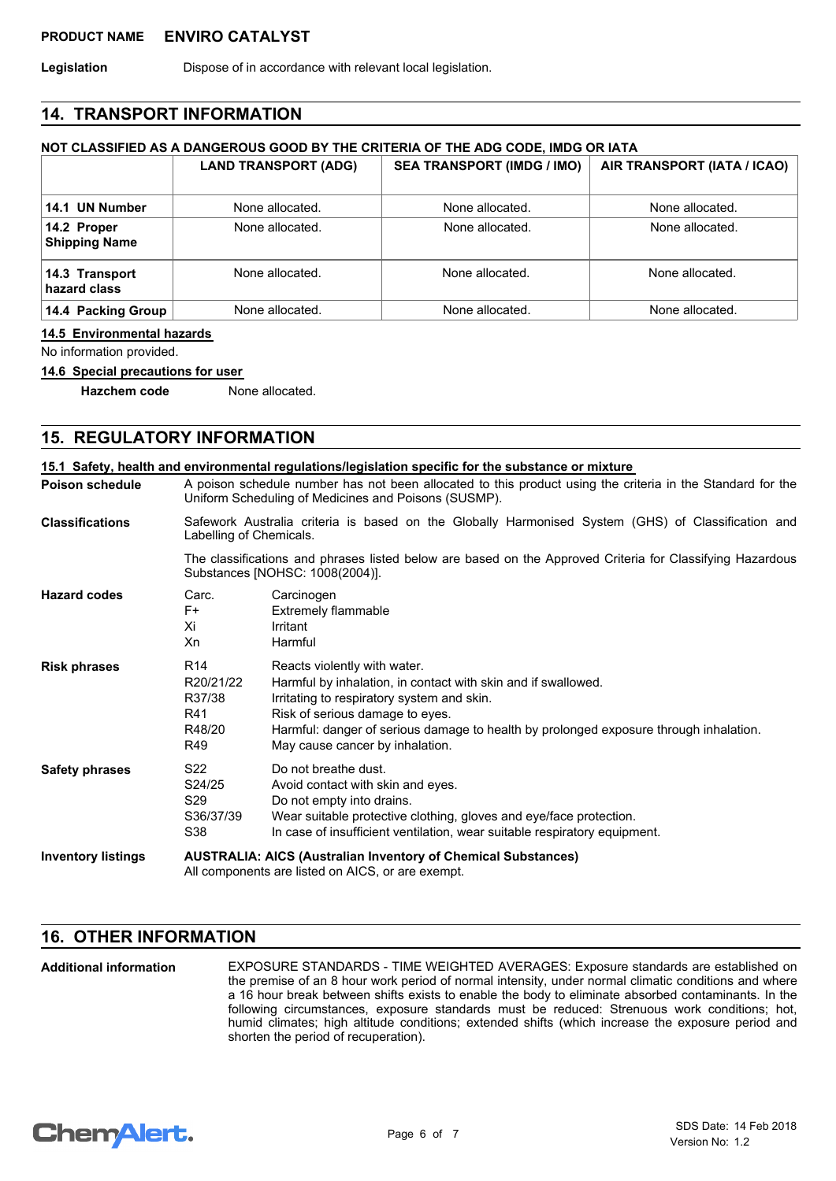Legislation **Dispose of in accordance with relevant local legislation.** 

### **14. TRANSPORT INFORMATION**

## **NOT CLASSIFIED AS A DANGEROUS GOOD BY THE CRITERIA OF THE ADG CODE, IMDG OR IATA**

|                                     | <b>LAND TRANSPORT (ADG)</b> | <b>SEA TRANSPORT (IMDG / IMO)</b> | AIR TRANSPORT (IATA / ICAO) |
|-------------------------------------|-----------------------------|-----------------------------------|-----------------------------|
| 14.1 UN Number                      | None allocated.             | None allocated.                   | None allocated.             |
| 14.2 Proper<br><b>Shipping Name</b> | None allocated.             | None allocated.                   | None allocated.             |
| 14.3 Transport<br>hazard class      | None allocated.             | None allocated.                   | None allocated.             |
| 14.4 Packing Group                  | None allocated.             | None allocated.                   | None allocated.             |

#### **14.5 Environmental hazards**

No information provided.

#### **14.6 Special precautions for user**

**Hazchem code** None allocated.

# **15. REGULATORY INFORMATION**

| <b>Poison schedule</b>    |                                                                  | A poison schedule number has not been allocated to this product using the criteria in the Standard for the<br>Uniform Scheduling of Medicines and Poisons (SUSMP).                                                                                                                                         |  |  |
|---------------------------|------------------------------------------------------------------|------------------------------------------------------------------------------------------------------------------------------------------------------------------------------------------------------------------------------------------------------------------------------------------------------------|--|--|
| <b>Classifications</b>    | Labelling of Chemicals.                                          | Safework Australia criteria is based on the Globally Harmonised System (GHS) of Classification and                                                                                                                                                                                                         |  |  |
|                           |                                                                  | The classifications and phrases listed below are based on the Approved Criteria for Classifying Hazardous<br>Substances [NOHSC: 1008(2004)].                                                                                                                                                               |  |  |
| <b>Hazard codes</b>       | Carc.<br>F+<br>Xi<br>Xn                                          | Carcinogen<br>Extremely flammable<br>Irritant<br>Harmful                                                                                                                                                                                                                                                   |  |  |
| <b>Risk phrases</b>       | R <sub>14</sub><br>R20/21/22<br>R37/38<br>R41<br>R48/20<br>R49   | Reacts violently with water.<br>Harmful by inhalation, in contact with skin and if swallowed.<br>Irritating to respiratory system and skin.<br>Risk of serious damage to eyes.<br>Harmful: danger of serious damage to health by prolonged exposure through inhalation.<br>May cause cancer by inhalation. |  |  |
| <b>Safety phrases</b>     | S <sub>22</sub><br>S24/25<br>S <sub>29</sub><br>S36/37/39<br>S38 | Do not breathe dust.<br>Avoid contact with skin and eyes.<br>Do not empty into drains.<br>Wear suitable protective clothing, gloves and eye/face protection.<br>In case of insufficient ventilation, wear suitable respiratory equipment.                                                                  |  |  |
| <b>Inventory listings</b> |                                                                  | <b>AUSTRALIA: AICS (Australian Inventory of Chemical Substances)</b><br>All components are listed on AICS, or are exempt.                                                                                                                                                                                  |  |  |

## **16. OTHER INFORMATION**

EXPOSURE STANDARDS - TIME WEIGHTED AVERAGES: Exposure standards are established on the premise of an 8 hour work period of normal intensity, under normal climatic conditions and where a 16 hour break between shifts exists to enable the body to eliminate absorbed contaminants. In the following circumstances, exposure standards must be reduced: Strenuous work conditions; hot, humid climates; high altitude conditions; extended shifts (which increase the exposure period and shorten the period of recuperation). **Additional information**